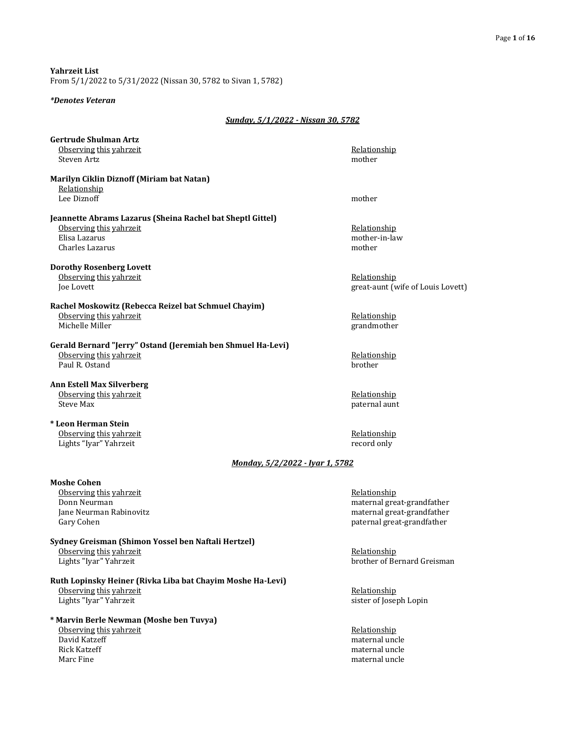**Yahrzeit List** From 5/1/2022 to 5/31/2022 (Nissan 30, 5782 to Sivan 1, 5782)

#### *\*Denotes Veteran*

### *Sunday, 5/1/2022 - Nissan 30, 5782*

| <b>Gertrude Shulman Artz</b>                                |                                   |
|-------------------------------------------------------------|-----------------------------------|
| Observing this yahrzeit<br>Steven Artz                      | Relationship<br>mother            |
| Marilyn Ciklin Diznoff (Miriam bat Natan)                   |                                   |
| Relationship                                                |                                   |
| Lee Diznoff                                                 | mother                            |
| Jeannette Abrams Lazarus (Sheina Rachel bat Sheptl Gittel)  |                                   |
| Observing this yahrzeit                                     | Relationship                      |
| Elisa Lazarus                                               | mother-in-law                     |
| Charles Lazarus                                             | mother                            |
| <b>Dorothy Rosenberg Lovett</b>                             |                                   |
| Observing this vahrzeit                                     | Relationship                      |
| Joe Lovett                                                  | great-aunt (wife of Louis Lovett) |
| Rachel Moskowitz (Rebecca Reizel bat Schmuel Chayim)        |                                   |
| Observing this vahrzeit                                     | Relationship                      |
| Michelle Miller                                             | grandmother                       |
| Gerald Bernard "Jerry" Ostand (Jeremiah ben Shmuel Ha-Levi) |                                   |
| Observing this vahrzeit                                     | Relationship                      |
| Paul R. Ostand                                              | brother                           |
| <b>Ann Estell Max Silverberg</b>                            |                                   |
| Observing this yahrzeit                                     | Relationship                      |
| <b>Steve Max</b>                                            | paternal aunt                     |
| * Leon Herman Stein                                         |                                   |
| Observing this yahrzeit                                     | Relationship                      |
| Lights "Iyar" Yahrzeit                                      | record only                       |
| <u> Monday, 5/2/2022 - Ivar 1, 5782</u>                     |                                   |
| <b>Moshe Cohen</b>                                          |                                   |
| Observing this yahrzeit                                     | Relationship                      |
| Donn Neurman                                                | maternal great-grandfather        |
| Jane Neurman Rabinovitz                                     | maternal great-grandfather        |
| Gary Cohen                                                  | paternal great-grandfather        |
| Sydney Greisman (Shimon Yossel ben Naftali Hertzel)         |                                   |
| Observing this vahrzeit                                     | Relationship                      |
| Lights "Iyar" Yahrzeit                                      | brother of Bernard Greisman       |
| Ruth Lopinsky Heiner (Rivka Liba bat Chayim Moshe Ha-Levi)  |                                   |
| Observing this vahrzeit                                     | Relationship                      |
| Lights "Iyar" Yahrzeit                                      | sister of Joseph Lopin            |
| * Marvin Berle Newman (Moshe ben Tuvya)                     |                                   |
| Observing this vahrzeit                                     | Relationship                      |
| David Katzeff                                               | maternal uncle                    |
| Rick Katzeff                                                | maternal uncle                    |

Rick Katzeff maternal uncle maternal uncle maternal uncle maternal uncle maternal uncle maternal uncle maternal uncle maternal uncle maternal uncle maternal uncle maternal uncle maternal uncle maternal uncle maternal uncle maternal uncle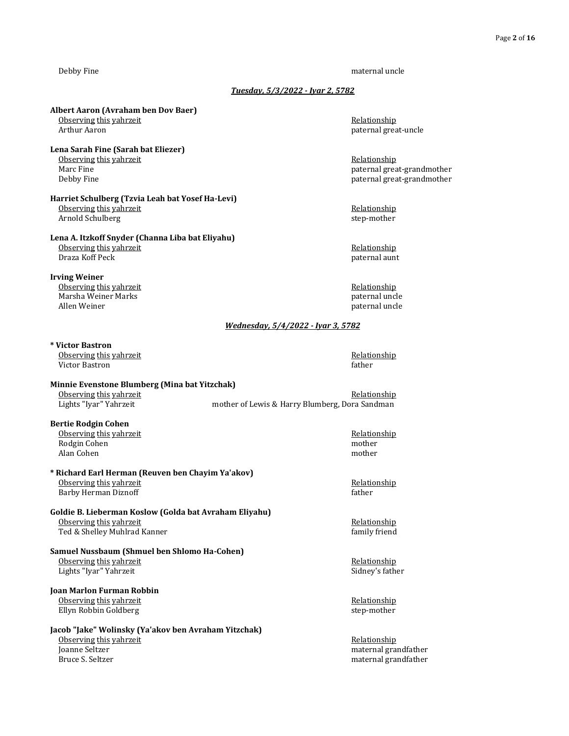#### Debby Fine maternal uncle maternal uncle

#### *Tuesday, 5/3/2022 - Iyar 2, 5782*

#### **Albert Aaron (Avraham ben Dov Baer)**

<u>Observing this yahrzeit</u> and the control of the control of the control of the control of the control of the control of the control of the control of the control of the control of the control of the control of the control

## **Lena Sarah Fine (Sarah bat Eliezer)** Observing this yahrzeit and the control of the control of the control of the control of the control of the control of the control of the control of the control of the control of the control of the control of the control of

Debby Fine paternal great-grandmother **Harriet Schulberg (Tzvia Leah bat Yosef Ha-Levi)**

#### Observing this yahrzeit **Relationship** Relationship Arnold Schulberg step-mother step-mother step-mother

#### **Lena A. Itzkoff Snyder (Channa Liba bat Eliyahu)** Observing this yahrzeit **Relationship Relationship Relationship** Draza Koff Peck paternal aunt

#### **Irving Weiner**

Observing this yahrzeit **Relationship Relationship Relationship** Marsha Weiner Marks **paternal uncle**<br>
Allen Weiner **Marks paternal uncle**<br> **Allen Weiner** 

#### **\* Victor Bastron** Observing this yahrzeit **Relationship Relationship Relationship**

Victor Bastron father

## **Minnie Evenstone Blumberg (Mina bat Yitzchak)**

## **Bertie Rodgin Cohen**

Observing this yahrzeit **Relationship Relationship Relationship** Rodgin Cohen mother method of the contract of the contract of the contract of the contract of the contract of the contract of the contract of the contract of the contract of the contract of the contract of the contract of Alan Cohen mother

#### **\* Richard Earl Herman (Reuven ben Chayim Ya'akov)** Observing this yahrzeit **Relationship Relationship Relationship** Barby Herman Diznoff **facture** and the state of the state of the state of the state of the state of the state of the state of the state of the state of the state of the state of the state of the state of the state of the s

#### **Goldie B. Lieberman Koslow (Golda bat Avraham Eliyahu)** Observing this yahrzeit **Relationship Conserving the Security Conserving the Security Associations Relationship** Ted & Shelley Muhlrad Kanner family friend

### **Samuel Nussbaum (Shmuel ben Shlomo Ha-Cohen)** Observing this yahrzeit **Relationship Relationship Relationship** Lights "Iyar" Yahrzeit Sidney's father

#### **Joan Marlon Furman Robbin** Observing this yahrzeit **Relationship Relationship Relationship** Ellyn Robbin Goldberg step-mother

## **Jacob "Jake" Wolinsky (Ya'akov ben Avraham Yitzchak)** Observing this yahrzeit and the control of the control of the Relationship Relationship Relationship Relationship Relationship Relationship Relationship Relationship Relationship Relationship Relationship Relationship Rela Bruce S. Seltzer material grandfather material grandfather material grandfather

paternal great-uncle

paternal great-grandmother

paternal uncle

## *Wednesday, 5/4/2022 - Iyar 3, 5782*

Observing this yahrzeit<br>
Lights "Iyar" Yahrzeit **Relationship**<br>
mother of Lewis & Harry Blumberg, Dora Sandman mother of Lewis & Harry Blumberg, Dora Sandman

maternal grandfather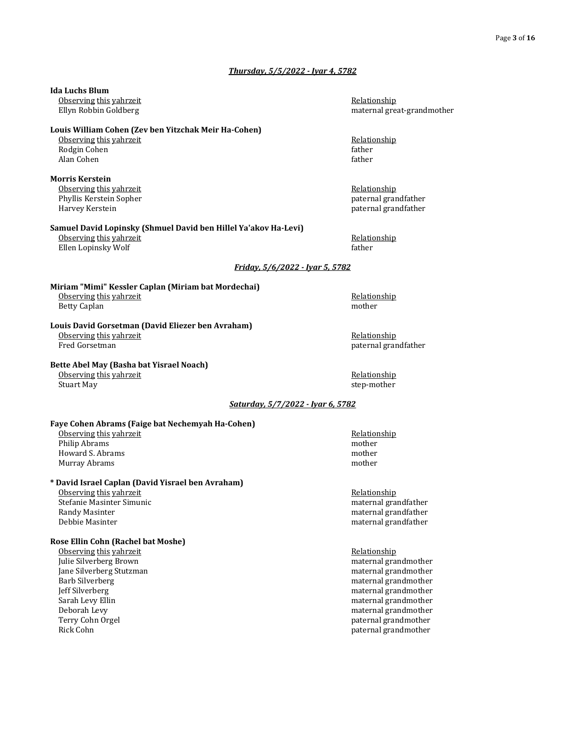#### *Thursday, 5/5/2022 - Iyar 4, 5782*

## **Ida Luchs Blum** Observing this yahrzeit **Relationship Relationship Relationship** Ellyn Robbin Goldberg maternal great-grandmother **Louis William Cohen (Zev ben Yitzchak Meir Ha-Cohen)** Observing this yahrzeit **Relationship Relationship Relationship** Rodgin Cohen father father Alan Cohen father father father father father father father father father father father father father father father father father father father father father father father father father father father father father father f **Morris Kerstein** Observing this yahrzeit **Relationship Containers Relationship Relationship** Phyllis Kerstein Sopher **paternal grandfather** paternal grandfather Harvey Kerstein paternal grandfather **Samuel David Lopinsky (Shmuel David ben Hillel Ya'akov Ha-Levi)** Observing this yahrzeit **Relationship Relationship Relationship** Ellen Lopinsky Wolf **father facture facture facture facture facture facture facture facture facture facture facture facture facture facture facture facture facture facture facture fa** *Friday, 5/6/2022 - Iyar 5, 5782* **Miriam "Mimi" Kessler Caplan (Miriam bat Mordechai)** Observing this yahrzeit **Relationship Containers Relationship Relationship** Betty Caplan mother **Louis David Gorsetman (David Eliezer ben Avraham)** Observing this yahrzeit **Relationship Relationship Relationship** Fred Gorsetman **paternal grandfather paternal grandfather paternal grandfather Bette Abel May (Basha bat Yisrael Noach)** Observing this yahrzeit **Relationship Relationship Relationship** Stuart May step-mother and the step-mother step-mother step-mother step-mother step-mother step-mother step-mother step-mother step-mother step-mother step-mother step-mother step-mother step-mother step-mother step-mother Observing this yahrzeit **Relationship Relationship Relationship** Philip Abrams mother Howard S. Abrams mother Murray Abrams mother **\* David Israel Caplan (David Yisrael ben Avraham)** Observing this yahrzeit **Relationship Relationship Relationship** Stefanie Masinter Simunic material grandfather material grandfather material grandfather Randy Masinter material grandfather material grandfather material grandfather material grandfather Debbie Masinter maternal grandfather **Rose Ellin Cohn (Rachel bat Moshe)** Observing this yahrzeit Relationship Julie Silverberg Brown maternal grandmother Jane Silverberg Stutzman maternal grandmother Barb Silverberg maternal grandmother Jeff Silverberg maternal grandmother Sarah Levy Ellin maternal grandmother meternal grandmother maternal grandmother Deborah Levy maternal grandmother Terry Cohn Orgel **paternal grandmother** paternal grandmother Rick Cohn **paternal grandmother paternal grandmother paternal** grandmother

#### *Saturday, 5/7/2022 - Iyar 6, 5782*

#### **Faye Cohen Abrams (Faige bat Nechemyah Ha-Cohen)**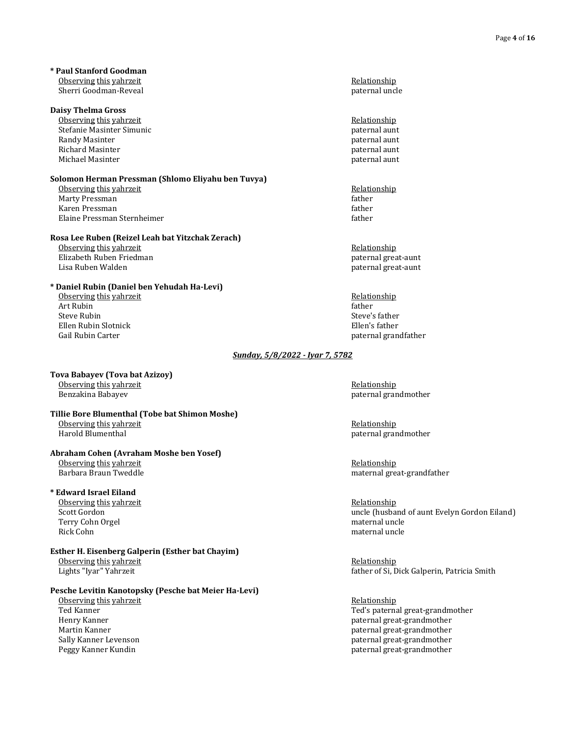**\* Paul Stanford Goodman** Observing this yahrzeit **Relationship Relationship Relationship** Sherri Goodman-Reveal **paternal** uncle paternal uncle

#### **Daisy Thelma Gross**

Observing this yahrzeit **Relationship Relationship Relationship** Stefanie Masinter Simunic **paternal aunt** paternal aunt Randy Masinter **paternal auntiliary of the Contract of Contract Contract of Contract Contract Contract Oriental auntiliary of the Contract Oriental auntil auntil auntil auntil auntil auntil auntil au de la paternal auntil** Richard Masinter **paternal aunt** between the paternal aunt between the paternal aunt between the paternal aunt Michael Masinter paternal aunt des paternal aunt des paternal aunt des paternal aunt des paternal aunt des paternal aunt de paternal aunt de paternal aunt de paternal aunt de paternal aunt de paternal aunt de paternal aunt

#### **Solomon Herman Pressman (Shlomo Eliyahu ben Tuvya)**

Observing this yahrzeit **Relationship Relationship Relationship** Marty Pressman father and the state of the state of the state of the state of the state of the state of the state of the state of the state of the state of the state of the state of the state of the state of the state of t Karen Pressman father in the settlement of the settlement of the settlement of the settlement of the settlement of the settlement of the settlement of the settlement of the settlement of the settlement of the settlement of Elaine Pressman Sternheimer father father father father father father father father father father father father

#### **Rosa Lee Ruben (Reizel Leah bat Yitzchak Zerach)**

Observing this yahrzeit **Relationship Relationship Relationship** Elizabeth Ruben Friedman **paternal** great-aunt Lisa Ruben Walden paternal great-aunt

#### **\* Daniel Rubin (Daniel ben Yehudah Ha-Levi)**

Observing this yahrzeit Government and the service of the Relationship Relationship Relationship Art Rubin Art Rubin father and the contract of the contract of the contract of the contract of the contract of the contract of the contract of the contract of the contract of the contract of the contract of the contract of the contr Steve Rubin Steve's father states and the steve of the steve of the steve of the steve of the steve of the steve Ellen Rubin Slotnick Ellen's father Gail Rubin Carter **paternal grandfather** paternal grandfather paternal grandfather

#### **Tova Babayev (Tova bat Azizoy)** Observing this yahrzeit **Relationship Relationship Relationship**

Benzakina Babayev paternal grandmother

## **Tillie Bore Blumenthal (Tobe bat Shimon Moshe)** Observing this yahrzeit and the control of the control of the control of the control of the control of the control of the control of the control of the control of the control of the control of the control of the control of

#### **Abraham Cohen (Avraham Moshe ben Yosef)**

Observing this yahrzeit **Relationship Containers Relationship Relationship** 

#### **\* Edward Israel Eiland**

Observing this yahrzeit **Relationship Relationship Relationship** Terry Cohn Orgel **material** uncle maternal uncle Rick Cohn maternal uncle and the state of the state of the maternal uncle and the maternal uncle in the maternal uncle

#### **Esther H. Eisenberg Galperin (Esther bat Chayim)** Observing this yahrzeit **Relationship Relationship Relationship**

### **Pesche Levitin Kanotopsky (Pesche bat Meier Ha-Levi)**

Observing this yahrzeit **Relationship Constanting the Constanting Constanting Constanting Relationship** Ted Kanner Ted's paternal great-grandmother Ted's paternal great-grandmother

#### *Sunday, 5/8/2022 - Iyar 7, 5782*

paternal grandmother

Barbara Braun Tweddle maternal great-grandfather

Scott Gordon uncle (husband of aunt Evelyn Gordon Eiland)

Lights "Iyar" Yahrzeit father of Si, Dick Galperin, Patricia Smith

Henry Kanner **paternal great-grandmother** paternal great-grandmother Martin Kanner **paternal great-grandmother** paternal great-grandmother Sally Kanner Levenson paternal great-grandmother Peggy Kanner Kundin paternal great-grandmother paternal great-grandmother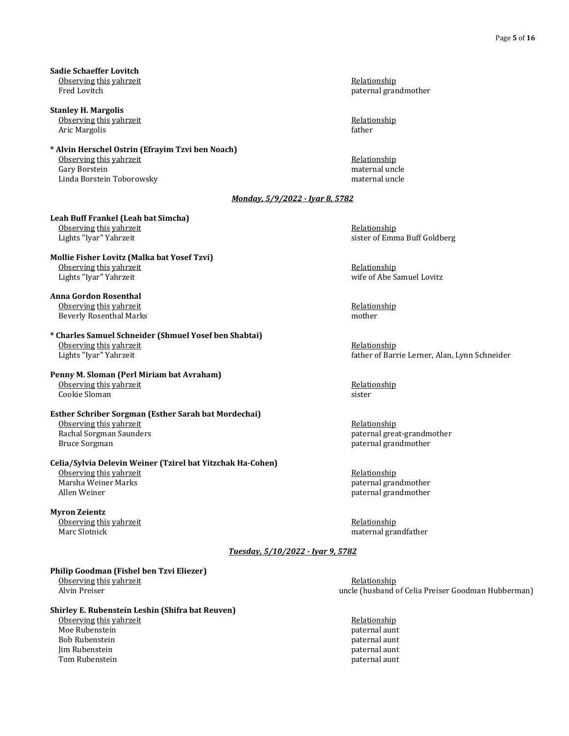**Sadie Schaeffer Lovitch** Observing this yahrzeit **Relationship Relationship Relationship** Fred Lovitch **paternal grandmother paternal** grandmother

**Stanley H. Margolis** Observing this yahrzeit **Relationship Relationship Relationship** Aric Margolis **factor facts facts facts facts facts facts facts facts facts facts facts facts f** 

**\* Alvin Herschel Ostrin (Efrayim Tzvi ben Noach)** Observing this yahrzeit **Relationship Relationship Relationship** Gary Borstein maternal uncle Linda Borstein Toborowsky maternal uncle

**Leah Buff Frankel (Leah bat Simcha)** Observing this yahrzeit **Relationship Relationship Relationship** Lights "Iyar" Yahrzeit sister of Emma Buff Goldberg

**Mollie Fisher Lovitz (Malka bat Yosef Tzvi)** Observing this yahrzeit **Relationship Containers Relationship Relationship** Lights "Iyar" Yahrzeit wife of Abe Samuel Lovitz

**Anna Gordon Rosenthal** Observing this yahrzeit **Relationship Relationship Relationship** Beverly Rosenthal Marks mother mother

**\* Charles Samuel Schneider (Shmuel Yosef ben Shabtai)** Observing this yahrzeit **Relationship Relationship Relationship** Lights "Iyar" Yahrzeit father of Barrie Lerner, Alan, Lynn Schneider

**Penny M. Sloman (Perl Miriam bat Avraham)** Observing this yahrzeit **Relationship Containers Relationship Relationship Relationship** Cookie Sloman sister

**Esther Schriber Sorgman (Esther Sarah bat Mordechai)** Observing this yahrzeit **Relationship Relationship Relationship** Rachal Sorgman Saunders paternal great-grandmother Bruce Sorgman **paternal grandmother** paternal grandmother

**Celia/Sylvia Delevin Weiner (Tzirel bat Yitzchak Ha-Cohen)** Observing this yahrzeit **Relationship Containers Relationship Relationship Relationship** Marsha Weiner Marks paternal grandmother

# **Myron Zeientz**

Observing this yahrzeit and the control of the control of the Relationship Relationship Marc Slotnick and the Marc Slotnick and the Marc Slotnick and the Marc Slotnick and the Marc Slotnick and the Marc Slotnick and the Ma

*Tuesday, 5/10/2022 - Iyar 9, 5782*

**Philip Goodman (Fishel ben Tzvi Eliezer)** Observing this yahrzeit **Relationship Containers Relationship Relationship** 

**Shirley E. Rubenstein Leshin (Shifra bat Reuven)**

Observing this yahrzeit **Relationship Relationship Relationship** Moe Rubenstein paternal aunt Bob Rubenstein **paternal** aunt Jim Rubenstein paternal aunt Tom Rubenstein **paternal aunt** paternal aunt paternal aunt paternal aunt paternal aunt paternal aunt paternal aunt

*Monday, 5/9/2022 - Iyar 8, 5782*

Allen Weiner paternal grandmother

maternal grandfather

Alvin Preiser uncle (husband of Celia Preiser Goodman Hubberman)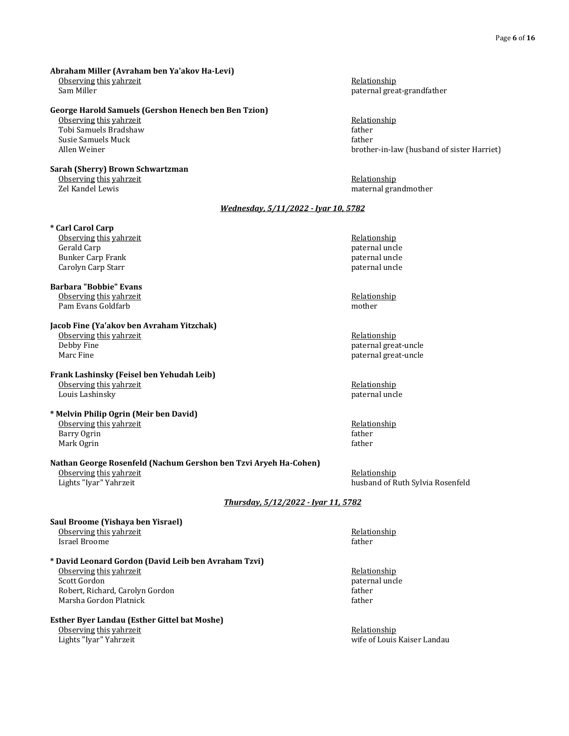#### **Abraham Miller (Avraham ben Ya'akov Ha-Levi)** Observing this yahrzeit **Relationship Relationship Relationship** Sam Miller paternal great-grandfather

#### **George Harold Samuels (Gershon Henech ben Ben Tzion)**

Observing this yahrzeit **Relationship Relationship Relationship** Tobi Samuels Bradshaw father Susie Samuels Muck father and the settlement of the settlement of the settlement of the settlement of the settlement of the settlement of the settlement of the settlement of the settlement of the settlement of the settleme

### **Sarah (Sherry) Brown Schwartzman**

Observing this yahrzeit **Relationship Containers Relationship Relationship** Zel Kandel Lewis maternal grandmother

Allen Weiner brother-in-law (husband of sister Harriet)

### *Wednesday, 5/11/2022 - Iyar 10, 5782*

- **\* Carl Carol Carp**
- Observing this yahrzeit **Relationship Relationship Relationship** Gerald Carp **paternal uncle** by the control of the control of the control of the control of the control of the control of the control of the control of the control of the control of the control of the control of the contro Bunker Carp Frank paternal uncle by the state of the paternal uncle paternal uncle paternal uncle Carolyn Carp Starr paternal uncle

**Barbara "Bobbie" Evans** Observing this yahrzeit and the control of the Relationship Pam Evans Goldfarb mother mother

**Jacob Fine (Ya'akov ben Avraham Yitzchak)** Observing this yahrzeit **Relationship Relationship Relationship** Debby Fine paternal great-uncle paternal great-uncle

#### **Frank Lashinsky (Feisel ben Yehudah Leib)** Observing this yahrzeit **Relationship Relationship Relationship** Louis Lashinsky paternal uncle

#### **\* Melvin Philip Ogrin (Meir ben David)** Observing this yahrzeit **Relationship Relationship Relationship** Barry Ogrin father Mark Ogrin father and the control of the control of the control of the control of the control of the control of the control of the control of the control of the control of the control of the control of the control of the c

#### **Nathan George Rosenfeld (Nachum Gershon ben Tzvi Aryeh Ha-Cohen)** Observing this yahrzeit **Relationship Containers Relationship Relationship Relationship** Lights "Iyar" Yahrzeit husband of Ruth Sylvia Rosenfeld

*Thursday, 5/12/2022 - Iyar 11, 5782*

#### **Saul Broome (Yishaya ben Yisrael)** Observing this yahrzeit Relationship Israel Broome father

#### **\* David Leonard Gordon (David Leib ben Avraham Tzvi)** Observing this yahrzeit **Relationship Relationship Relationship** Scott Gordon paternal uncle Robert, Richard, Carolyn Gordon Marsha Gordon Platnick father father father father father father father father father father father father father father father father father father father father father father father father father father father father fat

### **Esther Byer Landau (Esther Gittel bat Moshe)**

Observing this yahrzeit **Relationship Relationship Relationship** 

Marc Fine paternal great-uncle paternal great-uncle

Lights "Iyar" Yahrzeit wife of Louis Kaiser Landau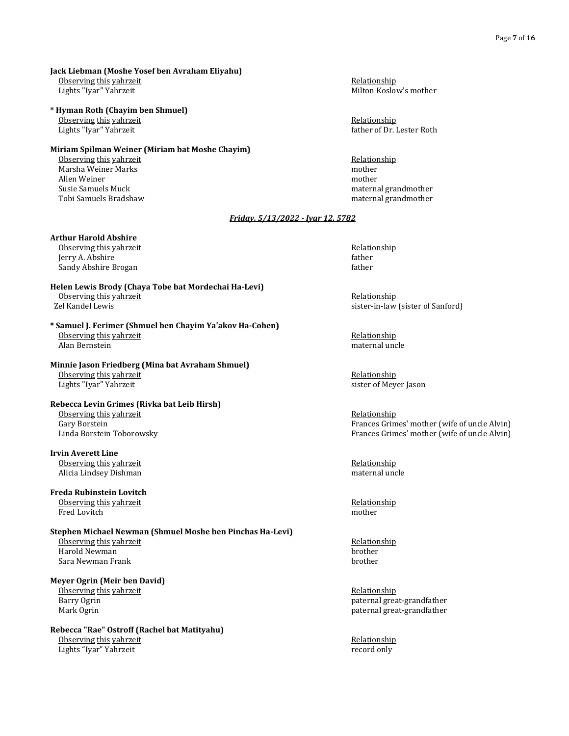#### **Jack Liebman (Moshe Yosef ben Avraham Eliyahu)**

Observing this yahrzeit **Relationship Relationship Relationship** 

**\* Hyman Roth (Chayim ben Shmuel)**

Observing this yahrzeit **Relationship Relationship Relationship** 

#### **Miriam Spilman Weiner (Miriam bat Moshe Chayim)**

Observing this yahrzeit **Relationship Relationship Relationship** Marsha Weiner Marks **mother** Allen Weiner mother Susie Samuels Muck maternal grandmother maternal grandmother Tobi Samuels Bradshaw maternal grandmother

#### **Arthur Harold Abshire**

Observing this yahrzeit **Relationship Relationship Relationship** Jerry A. Abshire father Sandy Abshire Brogan father father father father father father father father father father father father father

## **Helen Lewis Brody (Chaya Tobe bat Mordechai Ha-Levi)** Observing this yahrzeit and the service of the service of the service of the Selationship (Selationship  $\overline{Z}$ el Kandel Lewis

**\* Samuel J. Ferimer (Shmuel ben Chayim Ya'akov Ha-Cohen)** Observing this yahrzeit **Relationship Relationship Relationship** Alan Bernstein maternal uncle

#### **Minnie Jason Friedberg (Mina bat Avraham Shmuel)** Observing this yahrzeit **Relationship Relationship Relationship** Lights "Iyar" Yahrzeit sister of Meyer Jason

## **Rebecca Levin Grimes (Rivka bat Leib Hirsh)** Observing this yahrzeit **Relationship Relationship Relationship** Gary Borstein Frances Grimes' mother (wife of uncle Alvin)

**Irvin Averett Line** Observing this yahrzeit **Relationship Containst According the Containst According to According the Relationship** Alicia Lindsey Dishman maternal uncle and the state of the state of the state of the maternal uncle

## **Freda Rubinstein Lovitch** Observing this yahrzeit **Relationship Containers Relationship Relationship Relationship**

Fred Lovitch mother

## **Stephen Michael Newman (Shmuel Moshe ben Pinchas Ha-Levi)** <u>Observing this yahrzeit</u> and the control of the control of the control of the control of the control of the control of the control of the control of the control of the control of the control of the control of the control

Harold Newman brother and the same of the state of the state of the state of the brother same brother brother brother Sara Newman Frank

### **Meyer Ogrin (Meir ben David)**

Observing this yahrzeit **Relationship Containers Relationship Relationship** 

#### **Rebecca "Rae" Ostroff (Rachel bat Matityahu)** Observing this yahrzeit **Relationship Conserving the View Assessment Assessment Assessment Assessment Assessment Assessment Assessment Assessment Assessment Assessment Assessment Assessment Assessment Assessment Assessme**

Lights "Iyar" Yahrzeit record only

Lights "Iyar" Yahrzeit Milton Koslow's mother

Lights "Iyar" Yahrzeit father of Dr. Lester Roth

### *Friday, 5/13/2022 - Iyar 12, 5782*

sister-in-law (sister of Sanford)

Linda Borstein Toborowsky Frances Grimes' mother (wife of uncle Alvin)

Barry Ogrin **paternal great-grandfather** paternal great-grandfather Mark Ogrin paternal great-grandfather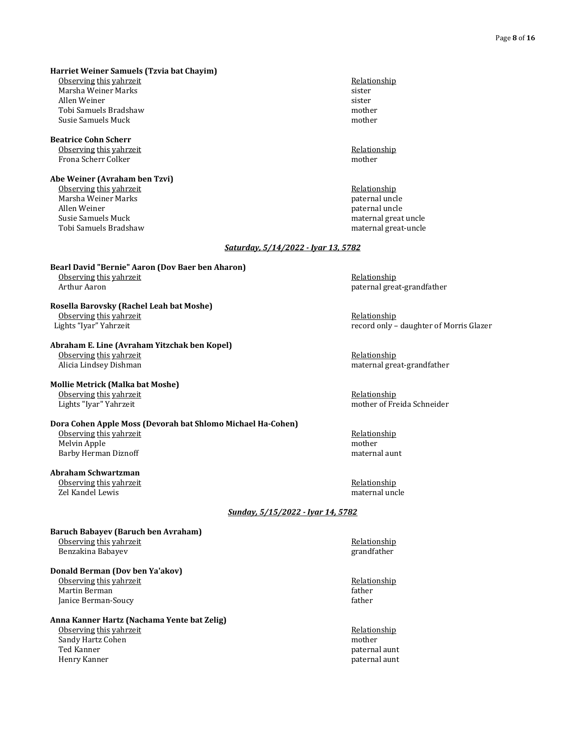**Harriet Weiner Samuels (Tzvia bat Chayim)**

Observing this yahrzeit **Relationship Relationship Relationship** Marsha Weiner Marks sister

Allen Weiner sister since the state of the state of the state sister sister sister Tobi Samuels Bradshaw mother Susie Samuels Muck mother mother mother mother mother mother mother mother mother mother mother mother mother

## **Beatrice Cohn Scherr** Observing this yahrzeit **Relationship Containers Relationship Relationship**

Frona Scherr Colker mother

#### **Abe Weiner (Avraham ben Tzvi)** Observing this yahrzeit **Relationship Containers Relationship Relationship**

Marsha Weiner Marks paternal uncle Allen Weiner **paternal** uncle **paternal** uncle Susie Samuels Muck material great uncle material great uncle Tobi Samuels Bradshaw maternal great-uncle

paternal great-grandfather

#### *Saturday, 5/14/2022 - Iyar 13, 5782*

## **Bearl David "Bernie" Aaron (Dov Baer ben Aharon)** Observing this yahrzeit and the control of the control of the control of the control of the control of the control of the control of the control of the control of the control of the control of the control of the control of

## **Rosella Barovsky (Rachel Leah bat Moshe)** Observing this yahrzeit **Relationship Conserving the Security of the Conserving the Security Associationship**

Lights "Iyar" Yahrzeit record only – daughter of Morris Glazer

#### **Abraham E. Line (Avraham Yitzchak ben Kopel)** Observing this yahrzeit **Relationship Relationship Relationship**

Alicia Lindsey Dishman maternal great-grandfather maternal great-grandfather

### **Mollie Metrick (Malka bat Moshe)**

Observing this yahrzeit **Relationship Relationship Relationship** Lights "Iyar" Yahrzeit mother of Freida Schneider

#### **Dora Cohen Apple Moss (Devorah bat Shlomo Michael Ha-Cohen)**

Observing this yahrzeit **Relationship Relationship Relationship** Melvin Apple mother Barby Herman Diznoff maternal aunt aux distributions of the maternal aunt maternal aunt maternal aunt maternal aunt maternal aunt maternal aunt maternal aunt maternal aunt maternal aunt maternal aunt maternal aunt maternal

### **Abraham Schwartzman**

Observing this yahrzeit **Relationship Relationship Relationship** Zel Kandel Lewis maternal uncle

### *Sunday, 5/15/2022 - Iyar 14, 5782*

#### **Baruch Babayev (Baruch ben Avraham)** Observing this yahrzeit **Relationship Relationship Relationship** Benzakina Babayev grandfather

### **Donald Berman (Dov ben Ya'akov)**

Observing this yahrzeit **Relationship Relationship Relationship** Martin Berman father that the state of the state of the state of the state of the state of the state of the state of the state of the state of the state of the state of the state of the state of the state of the state of t Janice Berman-Soucy **father** and the set of the set of the set of the set of the set of the set of the set of the set of the set of the set of the set of the set of the set of the set of the set of the set of the set of th

### **Anna Kanner Hartz (Nachama Yente bat Zelig)**

Observing this yahrzeit **Relationship Relationship Relationship** Sandy Hartz Cohen mother mother mother mother mother mother mother mother mother mother mother mother  $\Gamma$  and  $\Gamma$ Henry Kanner **paternal** aunt between the set of the set of the set of the set of the set of the set of the set of the set of the set of the set of the set of the set of the set of the set of the set of the set of the set o

paternal aunt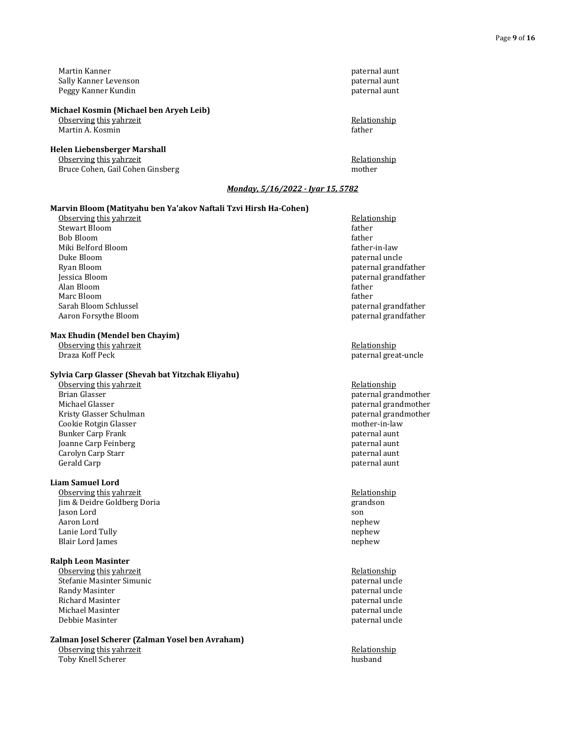Martin Kanner paternal aunt Sally Kanner Levenson paternal aunt Peggy Kanner Kundin paternal aunt besteht des Einsteinungsschaftes aus der Peggy Kanner Kundin aus der Peggy Kanner Kundin aus der Peggy Kanner Kundin aus der Peggy Kanner Kundin aus der Peggy Kanner Kundin aus der Peggy K

#### **Michael Kosmin (Michael ben Aryeh Leib)**

Martin A. Kosmin father

#### **Helen Liebensberger Marshall**

Observing this yahrzeit **Relationship Relationship Relationship** Bruce Cohen, Gail Cohen Ginsberg mother mother

Observing this yahrzeit **Relationship Relationship Relationship** 

### *Monday, 5/16/2022 - Iyar 15, 5782*

#### **Marvin Bloom (Matityahu ben Ya'akov Naftali Tzvi Hirsh Ha-Cohen)**

Observing this yahrzeit **Relationship Relationship Relationship** Stewart Bloom father and the stewart Bloom father and the stewart Bloom father father father father father father Bob Bloom father Miki Belford Bloom father-in-law Duke Bloom paternal uncle Ryan Bloom paternal grandfather Jessica Bloom paternal grandfather Alan Bloom father Marc Bloom father and the same of the state of the state of the state of the state of the state of the state of the state of the state of the state of the state of the state of the state of the state of the state of the st Aaron Forsythe Bloom paternal grandfather

#### **Max Ehudin (Mendel ben Chayim)**

Observing this yahrzeit **Relationship Containers Relationship Relationship Relationship** Draza Koff Peck paternal great-uncle

#### **Sylvia Carp Glasser (Shevah bat Yitzchak Eliyahu)**

Observing this yahrzeit and the control of the control of the control of the control of the control of the control of the control of the control of the control of the control of the control of the control of the control of Brian Glasser and Brian Glasser paternal grandmother paternal grandmother paternal grandmother paternal grandmother by the maternal strain of the maternal strain of the maternal strain of the maternal strain of the materna Kristy Glasser Schulman and the settlement of the settlement of the settlement of the settlement of the settlement of the settlement of the settlement of the settlement of the settlement of the settlement of the settlement Cookie Rotgin Glasser Bunker Carp Frank paternal aunt Joanne Carp Feinberg paternal aunt Carolyn Carp Starr **paternal aunt** control of the control of the control of the control of the control of the control of the control of the control of the control of the control of the control of the control of the control Gerald Carp **paternal aunt** paternal aunt between the control of the control of the control of the control of the control of the control of the control of the control of the control of the control of the control of the con

#### **Liam Samuel Lord**

Observing this yahrzeit **Relationship Relationship Relationship** Jim & Deidre Goldberg Doria grandson Jason Lord son Aaron Lord nephew Lanie Lord Tully nephew Blair Lord James nephew

#### **Ralph Leon Masinter**

Observing this yahrzeit **Relationship Relationship Relationship** Stefanie Masinter Simunic **paternal uncle** paternal uncle Randy Masinter **paternal uncle** and the paternal uncle paternal uncle Richard Masinter paternal uncle by the state of the state of the paternal uncle paternal uncle by the state of the state of the state of the state of the state of the state of the state of the state of the state of the sta Michael Masinter **paternal uncle** paternal uncle Debbie Masinter paternal uncle behavior of the paternal uncle paternal uncle paternal uncle paternal uncle paternal uncle paternal uncle paternal uncle paternal uncle paternal uncle paternal uncle paternal uncle paternal u

## **Zalman Josel Scherer (Zalman Yosel ben Avraham)**

Observing this yahrzeit and the control of the control of the Relationship Relationship Relationship Relationship Relationship Relationship Relationship Relationship Relationship Relationship Relationship Relationship Rela Toby Knell Scherer

paternal grandfather

paternal grandmother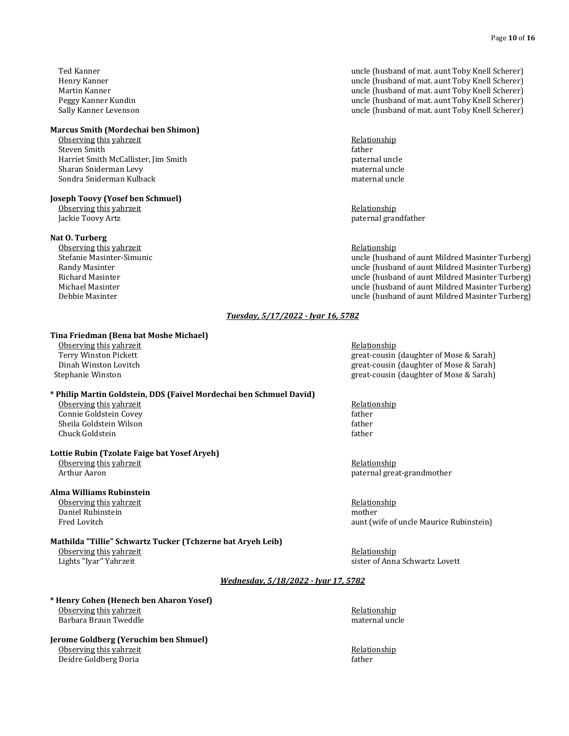#### **Marcus Smith (Mordechai ben Shimon)**

Observing this yahrzeit **Relationship Contract According the Contract According to the Relationship** Steven Smith father and the steven Smith father and the steven Smith father and the steven Smith father and the steven Smith father and the steven Smith father and the steven Smith father and the steven Smith father and th Harriet Smith McCallister, Jim Smith paternal uncle Sharan Sniderman Levy maternal uncle Sondra Sniderman Kulback material uncle material uncle material uncle

#### **Joseph Toovy (Yosef ben Schmuel)**

Observing this yahrzeit **Relationship Relationship Relationship** 

#### **Nat O. Turberg**

Observing this yahrzeit **Relationship Relationship Relationship** 

#### Ted Kanner uncle (husband of mat. aunt Toby Knell Scherer) Henry Kanner uncle (husband of mat. aunt Toby Knell Scherer) Martin Kanner uncle (husband of mat. aunt Toby Knell Scherer) Peggy Kanner Kundin uncle (husband of mat. aunt Toby Knell Scherer) Sally Kanner Levenson uncle (husband of mat. aunt Toby Knell Scherer)

Jackie Toovy Artz paternal grandfather

Stefanie Masinter-Simunic uncle (husband of aunt Mildred Masinter Turberg) Randy Masinter **National Community Community** Churches and the uncle (husband of aunt Mildred Masinter Turberg) Richard Masinter uncle (husband of aunt Mildred Masinter Turberg) Michael Masinter uncle (husband of aunt Mildred Masinter Turberg) Debbie Masinter uncle (husband of aunt Mildred Masinter Turberg)

#### *Tuesday, 5/17/2022 - Iyar 16, 5782*

#### **Tina Friedman (Bena bat Moshe Michael)**

Observing this yahrzeit **Relationship Relationship Relationship** 

#### **\* Philip Martin Goldstein, DDS (Faivel Mordechai ben Schmuel David)**

Observing this yahrzeit **Relationship Relationship Relationship** Connie Goldstein Covey father Sheila Goldstein Wilson **father** father Chuck Goldstein father

#### **Lottie Rubin (Tzolate Faige bat Yosef Aryeh)**

Observing this yahrzeit **Relationship Constanting the Constanting Constanting Constanting Relationship** 

#### **Alma Williams Rubinstein**

Observing this yahrzeit **Relationship Containers Relationship Relationship Relationship** Daniel Rubinstein mother

#### **Mathilda "Tillie" Schwartz Tucker (Tchzerne bat Aryeh Leib)** Observing this yahrzeit **Relationship Relationship Relationship** Lights "Iyar" Yahrzeit sister of Anna Schwartz Lovett

Terry Winston Pickett great-cousin (daughter of Mose & Sarah) Dinah Winston Lovitch great-cousin (daughter of Mose & Sarah) Stephanie Winston great-cousin (daughter of Mose & Sarah)

Arthur Aaron paternal great-grandmother

Fred Lovitch **aunt (wife of uncle Maurice Rubinstein)** and the state of uncle Maurice Rubinstein)

#### *Wednesday, 5/18/2022 - Iyar 17, 5782*

**\* Henry Cohen (Henech ben Aharon Yosef)** Observing this yahrzeit **Relationship Relationship Relationship** Barbara Braun Tweddle material uncle material uncle material uncle

**Jerome Goldberg (Yeruchim ben Shmuel)** Observing this yahrzeit **Relationship Conserving the View Assessment Conserving the View Assessment Relationship** Deidre Goldberg Doria father father father father father father father father father father father father father father father father father father father father father father father father father father father father fath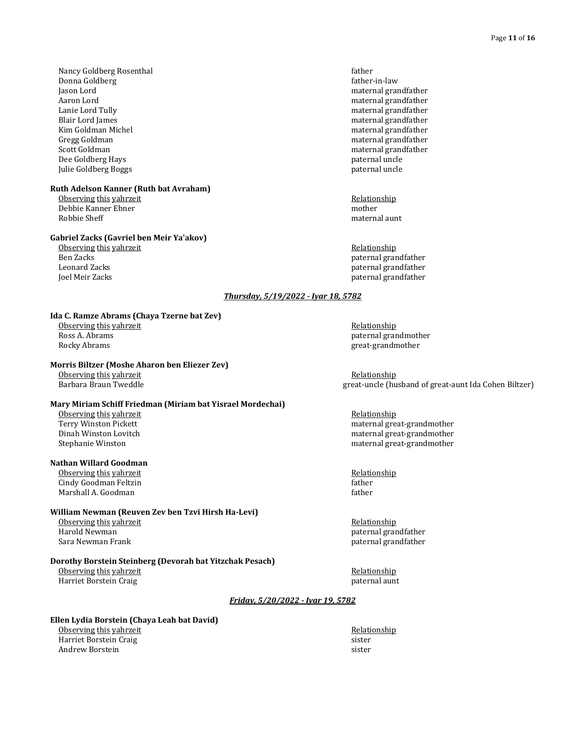Nancy Goldberg Rosenthal **Facture 2** and the control of the father father father father Donna Goldberg father-in-law Jason Lord maternal grandfather Aaron Lord maternal grandfather Lanie Lord Tully maternal grandfather Blair Lord James maternal grandfather Kim Goldman Michel material grandfather material grandfather material grandfather Gregg Goldman maternal grandfather maternal grandfather maternal grandfather Scott Goldman maternal grandfather Dee Goldberg Hays paternal uncle Julie Goldberg Boggs paternal uncle

#### **Ruth Adelson Kanner (Ruth bat Avraham)**

Observing this yahrzeit **Relationship Relationship Relationship** Debbie Kanner Ebner mother Robbie Sheff material aunt aux des states and the control of the control of the control of the control of the control of the control of the control of the control of the control of the control of the control of the control

#### **Gabriel Zacks (Gavriel ben Meir Ya'akov)**

Observing this yahrzeit **Relationship Relationship Relationship** Ben Zacks paternal grandfather Leonard Zacks paternal grandfather Joel Meir Zacks paternal grandfather

#### *Thursday, 5/19/2022 - Iyar 18, 5782*

#### **Ida C. Ramze Abrams (Chaya Tzerne bat Zev)**

Observing this yahrzeit **Relationship Containers Relationship Relationship** Ross A. Abrams paternal grandmother paternal grandmother paternal grandmother Rocky Abrams great-grandmother great-grandmother great-grandmother

#### **Morris Biltzer (Moshe Aharon ben Eliezer Zev)**

Observing this yahrzeit and the control of the control of the control of the control of the control of the control of the control of the control of the control of the control of the control of the control of the control of

#### **Mary Miriam Schiff Friedman (Miriam bat Yisrael Mordechai)**

Observing this yahrzeit and the control of the control of the Relationship Relationship Relationship Relationship Relationship and the control of the control of the control of the control of the control of the control of t

#### **Nathan Willard Goodman**

Observing this yahrzeit **Relationship Relationship Relationship** Cindy Goodman Feltzin father father father father father father father father father father father father father father father father father father father father father father father father father father father father fath Marshall A. Goodman father and the control of the control of the control of the control of the control of the control of the control of the control of the control of the control of the control of the control of the control

#### **William Newman (Reuven Zev ben Tzvi Hirsh Ha-Levi)**

Observing this yahrzeit and the control of the control of the Relationship Relationship Relationship Relationship<br>Relationship Relationship Relationship Relationship Relationship Relationship Relationship Relationship Rela Sara Newman Frank paternal grandfather paternal grandfather paternal grandfather

#### **Dorothy Borstein Steinberg (Devorah bat Yitzchak Pesach)**

Observing this yahrzeit **Relationship Containers Relationship Relationship** Harriet Borstein Craig paternal aunt

great-uncle (husband of great-aunt Ida Cohen Biltzer)

maternal great-grandmother Dinah Winston Lovitch maternal great-grandmother Stephanie Winston maternal great-grandmother

paternal grandfather

#### *Friday, 5/20/2022 - Iyar 19, 5782*

#### **Ellen Lydia Borstein (Chaya Leah bat David)**

Observing this yahrzeit **Relationship Relationship Relationship** Harriet Borstein Craig sister Andrew Borstein sister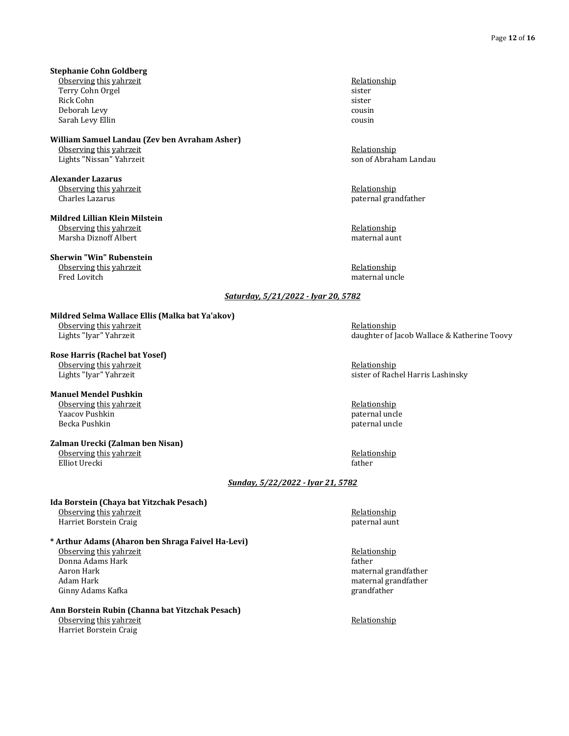#### **Stephanie Cohn Goldberg**

Observing this yahrzeit **Relationship Relationship Relationship** Terry Cohn Orgel sister Rick Cohn sister **State Community** Sister **State Community** Sister **State Community** Sister Deborah Levy cousin Sarah Levy Ellin cousin cousin cousin cousin cousin cousin cousin cousin cousin cousin cousin cousin cousin cousin cousin cousin cousin cousin cousin cousin cousin cousin cousin cousin cousin cousin cousin cousin cousin co

## **William Samuel Landau (Zev ben Avraham Asher)**

Lights "Nissan" Yahrzeit

**Alexander Lazarus** Observing this yahrzeit **Relationship Containers Relationship Relationship** Charles Lazarus paternal grandfather

#### **Mildred Lillian Klein Milstein** Observing this yahrzeit **Relationship Relationship Relationship** Marsha Diznoff Albert maternal aunt

**Sherwin "Win" Rubenstein**

Observing this yahrzeit and the control of the control of the Relationship Relationship Relationship Relationship Relationship Relationship Relationship Relationship Relationship Relationship Relationship Relationship Rela

Observing this yahrzeit entitled and the control of the control of the control of the control of the control of the control of the control of the control of the control of the control of the control of the control of the c

maternal uncle

#### *Saturday, 5/21/2022 - Iyar 20, 5782*

#### **Mildred Selma Wallace Ellis (Malka bat Ya'akov)**

Observing this yahrzeit **Relationship Containers Relationship Relationship** Lights "Iyar" Yahrzeit daughter of Jacob Wallace & Katherine Toovy

### **Rose Harris (Rachel bat Yosef)**

Observing this yahrzeit **Relationship Conserving the View Assessment Conserving the View Assessment Relationship** Lights "Iyar" Yahrzeit sister of Rachel Harris Lashinsky

### **Manuel Mendel Pushkin**

#### **Zalman Urecki (Zalman ben Nisan)**

Elliot Urecki father

<u>Observing this yahrzeit</u> and the second of the second of the second of the second of the second of the second of the second of the second of the second of the second of the second of the second of the second of the second Yaacov Pushkin paternal uncle

Observing this yahrzeit **Relationship Relationship Relationship** 

#### *Sunday, 5/22/2022 - Iyar 21, 5782*

#### **Ida Borstein (Chaya bat Yitzchak Pesach)** Observing this yahrzeit **Relationship Relationship Relationship** Harriet Borstein Craig **paternal** aunt between the state of the paternal aunt between the paternal aunt between the state of the state of the state of the state of the state of the state of the state of the state of the st

### **\* Arthur Adams (Aharon ben Shraga Faivel Ha-Levi)**

Observing this yahrzeit Relationship **Donna Adams Hark** father Aaron Hark maternal grandfather meters and the maternal grandfather maternal grandfather Adam Hark material grandfather material grandfather material grandfather material grandfather Ginny Adams Kafka **grandfather** grandfather grandfather grandfather grandfather grandfather grandfather grandfather grandfather grandfather grandfather grandfather grandfather grandfather grandfather grandfather grandfathe

### **Ann Borstein Rubin (Channa bat Yitzchak Pesach)**

Observing this yahrzeit **Relationship** Relationship Harriet Borstein Craig

paternal uncle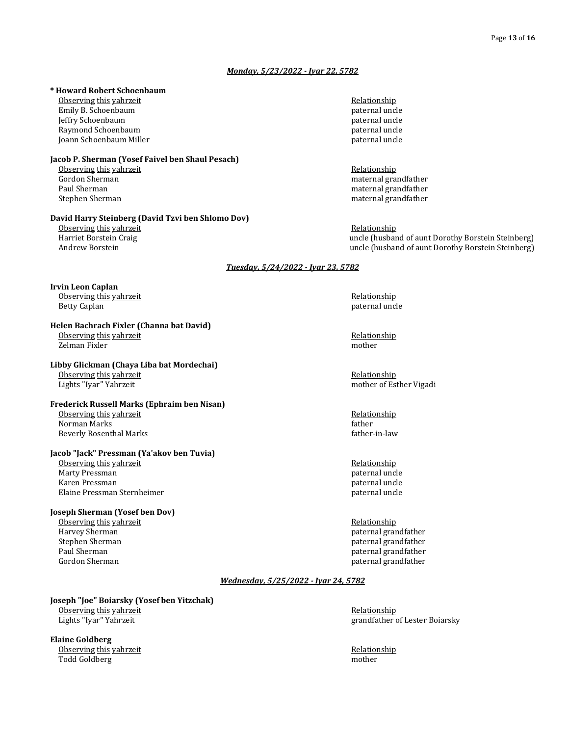#### *Monday, 5/23/2022 - Iyar 22, 5782*

#### **\* Howard Robert Schoenbaum**

Observing this yahrzeit **Relationship Relationship Relationship** Emily B. Schoenbaum **paternal** uncle by the state of the state of the state of the state of the state of the state of the state of the state of the state of the state of the state of the state of the state of the state of Jeffry Schoenbaum paternal uncle Raymond Schoenbaum Joann Schoenbaum Miller **paternal uncle** paternal uncle

#### **Jacob P. Sherman (Yosef Faivel ben Shaul Pesach)**

Observing this yahrzeit **Relationship Relationship Relationship** Gordon Sherman material grandfather material grandfather material grandfather material grandfather material grandfather material grandfather material grandfather material grandfather material grandfather material grandfath Stephen Sherman maternal grandfather maternal grandfather

#### **David Harry Steinberg (David Tzvi ben Shlomo Dov)**

Observing this yahrzeit **Relationship Relationship Relationship** 

### **Irvin Leon Caplan**

Observing this yahrzeit **Relationship Relationship Relationship** Betty Caplan paternal uncle and the settlement of the settlement of the settlement of the settlement of the settlement of the settlement of the settlement of the settlement of the settlement of the settlement of the settle

#### **Helen Bachrach Fixler (Channa bat David)** Observing this yahrzeit **Relationship Relationship Relationship** Zelman Fixler mother

#### **Libby Glickman (Chaya Liba bat Mordechai)**

Observing this yahrzeit **Relationship Relationship Relationship** Lights "Iyar" Yahrzeit mother of Esther Vigadi

#### **Frederick Russell Marks (Ephraim ben Nisan)** Observing this yahrzeit and the control of the control of the Relationship Relationship Relationship Relationship Relationship Relationship Relationship Relationship Relationship Relationship Relationship Relationship Rela Norman Marks

Beverly Rosenthal Marks **father-in-law** father-in-law

#### **Jacob "Jack" Pressman (Ya'akov ben Tuvia)**

Observing this yahrzeit **Relationship Constanting the Constanting Constanting Constanting Relationship** Marty Pressman **paternal** uncle and the set of the set of the set of the set of the set of the set of the set of the set of the set of the set of the set of the set of the set of the set of the set of the set of the set of Karen Pressman paternal uncle and the set of the set of the set of the set of the set of the set of the set of the set of the set of the set of the set of the set of the set of the set of the set of the set of the set of t Elaine Pressman Sternheimer **paternal uncle** paternal uncle

#### **Joseph Sherman (Yosef ben Dov)**

Observing this yahrzeit and the service of the service of the Relationship Relationship Relationship Relationship Relationship Relationship Relationship Relationship Relationship Relationship Relationship Relationship Rela Harvey Sherman paternal grandfather between the stephen Stephen Sherman paternal grandfather stephen Sherman paternal grandfather stephen Sherman paternal grandfather stephen Sherman paternal grandfather stephen Sherman pa Stephen Sherman paternal grandfather and the stephen Sherman paternal grandfather paul Sherman paternal grandfather Gordon Sherman **paternal grandfather paternal grandfather paternal grandfather** 

Paul Sherman maternal grandfather

Harriet Borstein Craig uncle (husband of aunt Dorothy Borstein Steinberg) Andrew Borstein Steinberg) and the uncle (husband of aunt Dorothy Borstein Steinberg)

#### *Tuesday, 5/24/2022 - Iyar 23, 5782*

paternal grandfather

#### *Wednesday, 5/25/2022 - Iyar 24, 5782*

#### **Joseph "Joe" Boiarsky (Yosef ben Yitzchak)** Observing this yahrzeit **Relationship Containers Relationship Relationship Relationship**

**Elaine Goldberg** Observing this yahrzeit **Relationship Conserving the Security Conserving the Security Associations Relationship** Todd Goldberg mother

Lights "Iyar" Yahrzeit grandfather of Lester Boiarsky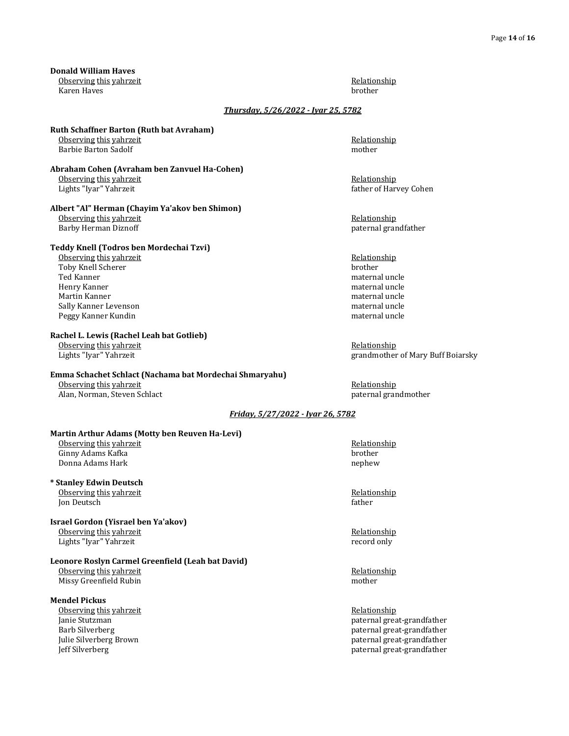**Donald William Haves** Observing this yahrzeit **Relationship Relationship Relationship** 

Karen Haves brother

### *Thursday, 5/26/2022 - Iyar 25, 5782*

#### **Ruth Schaffner Barton (Ruth bat Avraham)** Observing this yahrzeit **Relationship Relationship Relationship** Barbie Barton Sadolf and the state of the state of the mother mother

**Abraham Cohen (Avraham ben Zanvuel Ha-Cohen)** Observing this yahrzeit **Relationship Conserving the Security of the Conserving the Security Associationship** Lights "Iyar" Yahrzeit **father of Harvey Cohen** father of Harvey Cohen

#### **Albert "Al" Herman (Chayim Ya'akov ben Shimon)** Observing this yahrzeit **Relationship Relationship Relationship**

Barby Herman Diznoff **paternal grandfather** paternal grandfather

#### **Teddy Knell (Todros ben Mordechai Tzvi)**

<u>Observing this yahrzeit</u> and the control of the control of the control of the control of the control of the control of the control of the control of the control of the control of the control of the control of the control Toby Knell Scherer Ted Kanner maternal uncle Henry Kanner maternal uncle Martin Kanner maternal uncle Sally Kanner Levenson maternal uncle Peggy Kanner Kundin maternal uncle and the state of the maternal uncle in the maternal uncle in the maternal uncle

#### **Rachel L. Lewis (Rachel Leah bat Gotlieb)**

Observing this yahrzeit **Relationship Containers Relationship Relationship Relationship** 

## **Emma Schachet Schlact (Nachama bat Mordechai Shmaryahu)**

Observing this yahrzeit **Relationship Relationship Relationship** Alan, Norman, Steven Schlact paternal grandmother

Lights "Iyar" Yahrzeit grandmother of Mary Buff Boiarsky

### *Friday, 5/27/2022 - Iyar 26, 5782*

### **Martin Arthur Adams (Motty ben Reuven Ha-Levi)**

Observing this yahrzeit **Relationship Relationship Relationship** Ginny Adams Kafka brother Donna Adams Hark nephew nephew nephew nephew nephew nephew nephew nephew nephew nephew nephew nephew nephew nephew nephew nephew nephew nephew nephew nephew nephew nephew nephew nephew nephew nephew nephew nephew nephew ne

#### **\* Stanley Edwin Deutsch** Observing this yahrzeit **Relationship Relationship Relationship** Jon Deutsch father

#### **Israel Gordon (Yisrael ben Ya'akov)** Observing this yahrzeit **Relationship Relationship Relationship** Lights "Iyar" Yahrzeit record only

#### **Leonore Roslyn Carmel Greenfield (Leah bat David)**

Observing this yahrzeit **Relationship Containers Relationship Relationship** Missy Greenfield Rubin mother mother

#### **Mendel Pickus**

Observing this yahrzeit **Relationship Relationship Relationship** Jeff Silverberg paternal great-grandfather

Janie Stutzman paternal great-grandfather Barb Silverberg paternal great-grandfather Julie Silverberg Brown paternal great-grandfather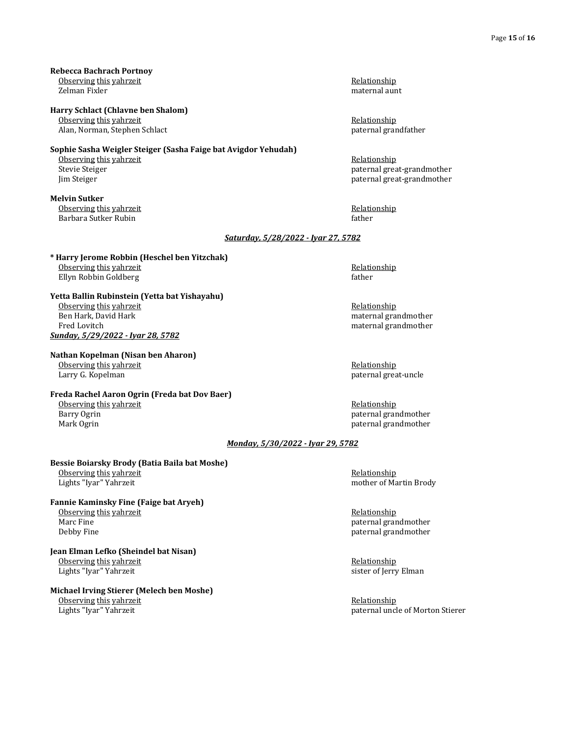**Rebecca Bachrach Portnoy** Observing this yahrzeit **Relationship Relationship Relationship** Zelman Fixler maternal aunt

**Harry Schlact (Chlavne ben Shalom)**

Observing this yahrzeit **Relationship Relationship Relationship** Alan, Norman, Stephen Schlact paternal grandfather

#### **Sophie Sasha Weigler Steiger (Sasha Faige bat Avigdor Yehudah)**

Observing this yahrzeit **Relationship Containers Relationship Relationship** 

**Melvin Sutker** Observing this yahrzeit **Relationship** Relationship Barbara Sutker Rubin father and the state of the state of the state of the state of the state of the state of the state of the state of the state of the state of the state of the state of the state of the state of the stat

Stevie Steiger **paternal great-grandmother** paternal great-grandmother Jim Steiger paternal great-grandmother

#### *Saturday, 5/28/2022 - Iyar 27, 5782*

**\* Harry Jerome Robbin (Heschel ben Yitzchak)** Observing this yahrzeit **Relationship Contract According the Contract According to the Relationship** Ellyn Robbin Goldberg father

**Yetta Ballin Rubinstein (Yetta bat Yishayahu)** Observing this yahrzeit **Relationship Relationship Relationship** Ben Hark, David Hark maternal grandmother maternal grandmother Fred Lovitch **maternal** grandmother maternal grandmother *Sunday, 5/29/2022 - Iyar 28, 5782*

#### **Nathan Kopelman (Nisan ben Aharon)**

Observing this yahrzeit **Relationship Relationship Relationship** Larry G. Kopelman **paternal great-uncle** by the paternal great-uncle

## **Freda Rachel Aaron Ogrin (Freda bat Dov Baer)**

Observing this yahrzeit **Relationship Containst Accord Relationship Relationship** 

Barry Ogrin **paternal grandmother** paternal grandmother **paternal** grandmother Mark Ogrin **paternal grandmother** paternal grandmother

#### *Monday, 5/30/2022 - Iyar 29, 5782*

#### **Bessie Boiarsky Brody (Batia Baila bat Moshe)** Observing this yahrzeit **Relationship Relationship Relationship**

#### **Fannie Kaminsky Fine (Faige bat Aryeh)** Observing this yahrzeit **Relationship Relationship Relationship**

#### **Jean Elman Lefko (Sheindel bat Nisan)** Observing this yahrzeit **Relationship Relationship Relationship** Lights "Iyar" Yahrzeit sister of Jerry Elman

## **Michael Irving Stierer (Melech ben Moshe)**

Observing this yahrzeit **Relationship Constanting the Constanting Constanting Constanting Relationship** 

# Lights "Iyar" Yahrzeit mother of Martin Brody

Marc Fine paternal grandmother paternal grandmother paternal grandmother Debby Fine paternal grandmother paternal grandmother paternal grandmother

Lights "Iyar" Yahrzeit paternal uncle of Morton Stierer